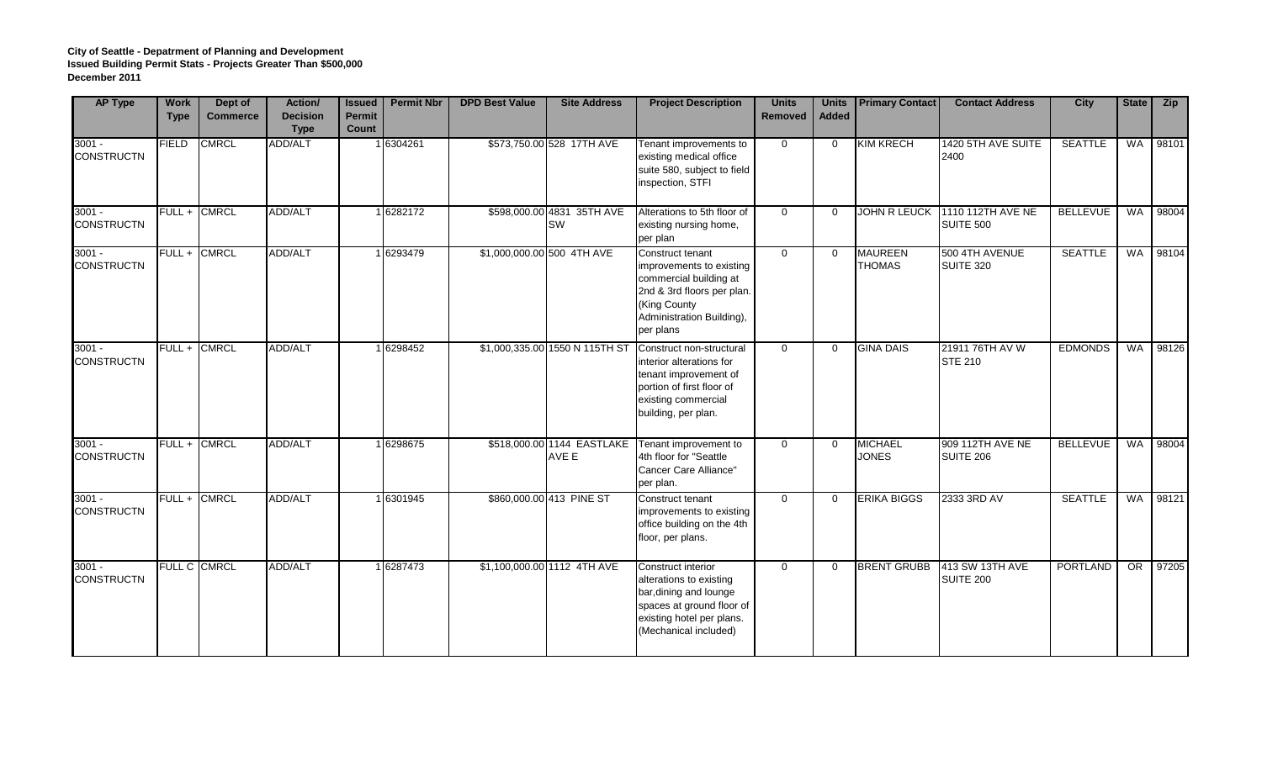| <b>AP Type</b>                | <b>Work</b><br><b>Type</b> | Dept of<br><b>Commerce</b> | Action/<br><b>Decision</b><br><b>Type</b> | <b>Issued</b><br><b>Permit</b><br>Count | <b>Permit Nbr</b> | <b>DPD Best Value</b> | <b>Site Address</b>                     | <b>Project Description</b>                                                                                                                                    | <b>Units</b><br><b>Removed</b> | <b>Units</b><br>Added | <b>Primary Contact</b>          | <b>Contact Address</b>            | <b>City</b>     | <b>State</b> | <b>Zip</b> |
|-------------------------------|----------------------------|----------------------------|-------------------------------------------|-----------------------------------------|-------------------|-----------------------|-----------------------------------------|---------------------------------------------------------------------------------------------------------------------------------------------------------------|--------------------------------|-----------------------|---------------------------------|-----------------------------------|-----------------|--------------|------------|
| $3001 -$<br><b>CONSTRUCTN</b> | FIELD                      | <b>CMRCL</b>               | ADD/ALT                                   |                                         | 1 6304261         |                       | \$573,750.00 528 17TH AVE               | Tenant improvements to<br>existing medical office<br>suite 580, subject to field<br>inspection, STFI                                                          | $\Omega$                       | $\Omega$              | <b>KIM KRECH</b>                | 1420 5TH AVE SUITE<br>2400        | <b>SEATTLE</b>  | <b>WA</b>    | 98101      |
| $3001 -$<br><b>CONSTRUCTN</b> |                            | FULL + CMRCL               | ADD/ALT                                   |                                         | 1 6282172         |                       | \$598,000.00 4831 35TH AVE<br><b>SW</b> | Alterations to 5th floor of<br>existing nursing home,<br>per plan                                                                                             | $\Omega$                       | $\Omega$              | <b>JOHN R LEUCK</b>             | 1110 112TH AVE NE<br>SUITE 500    | <b>BELLEVUE</b> | <b>WA</b>    | 98004      |
| $3001 -$<br><b>CONSTRUCTN</b> | FULL+                      | <b>CMRCL</b>               | <b>ADD/ALT</b>                            |                                         | 16293479          |                       | \$1,000,000.00 500 4TH AVE              | Construct tenant<br>improvements to existing<br>commercial building at<br>2nd & 3rd floors per plan.<br>King County<br>Administration Building),<br>per plans | $\Omega$                       | $\Omega$              | <b>MAUREEN</b><br><b>THOMAS</b> | 500 4TH AVENUE<br>SUITE 320       | <b>SEATTLE</b>  | WA           | 98104      |
| $3001 -$<br><b>CONSTRUCTN</b> | $FULL +$                   | <b>CMRCL</b>               | ADD/ALT                                   |                                         | 1 6298452         |                       | \$1,000,335.00 1550 N 115TH ST          | Construct non-structural<br>interior alterations for<br>tenant improvement of<br>portion of first floor of<br>existing commercial<br>building, per plan.      | $\Omega$                       | $\mathbf{0}$          | <b>GINA DAIS</b>                | 21911 76TH AV W<br><b>STE 210</b> | <b>EDMONDS</b>  | WA           | 98126      |
| $3001 -$<br><b>CONSTRUCTN</b> | $FULL +$                   | <b>CMRCL</b>               | ADD/ALT                                   |                                         | 1 6298675         |                       | \$518,000.00 1144 EASTLAKE<br>AVE E     | Tenant improvement to<br>4th floor for "Seattle<br>Cancer Care Alliance"<br>per plan.                                                                         | $\Omega$                       | $\Omega$              | <b>MICHAEL</b><br><b>JONES</b>  | 909 112TH AVE NE<br>SUITE 206     | <b>BELLEVUE</b> | WA           | 98004      |
| $3001 -$<br><b>CONSTRUCTN</b> | FULL+                      | <b>CMRCL</b>               | ADD/ALT                                   |                                         | 1 6301945         |                       | \$860,000.00 413 PINE ST                | Construct tenant<br>improvements to existing<br>office building on the 4th<br>floor, per plans.                                                               | $\Omega$                       | $\Omega$              | <b>ERIKA BIGGS</b>              | 2333 3RD AV                       | <b>SEATTLE</b>  | WA           | 98121      |
| $3001 -$<br><b>CONSTRUCTN</b> |                            | FULL C CMRCL               | ADD/ALT                                   |                                         | 1 6287473         |                       | \$1,100,000.00 1112 4TH AVE             | Construct interior<br>alterations to existing<br>bar, dining and lounge<br>spaces at ground floor of<br>existing hotel per plans.<br>(Mechanical included)    | $\Omega$                       | $\Omega$              | <b>BRENT GRUBB</b>              | 413 SW 13TH AVE<br>SUITE 200      | <b>PORTLAND</b> | OR           | 97205      |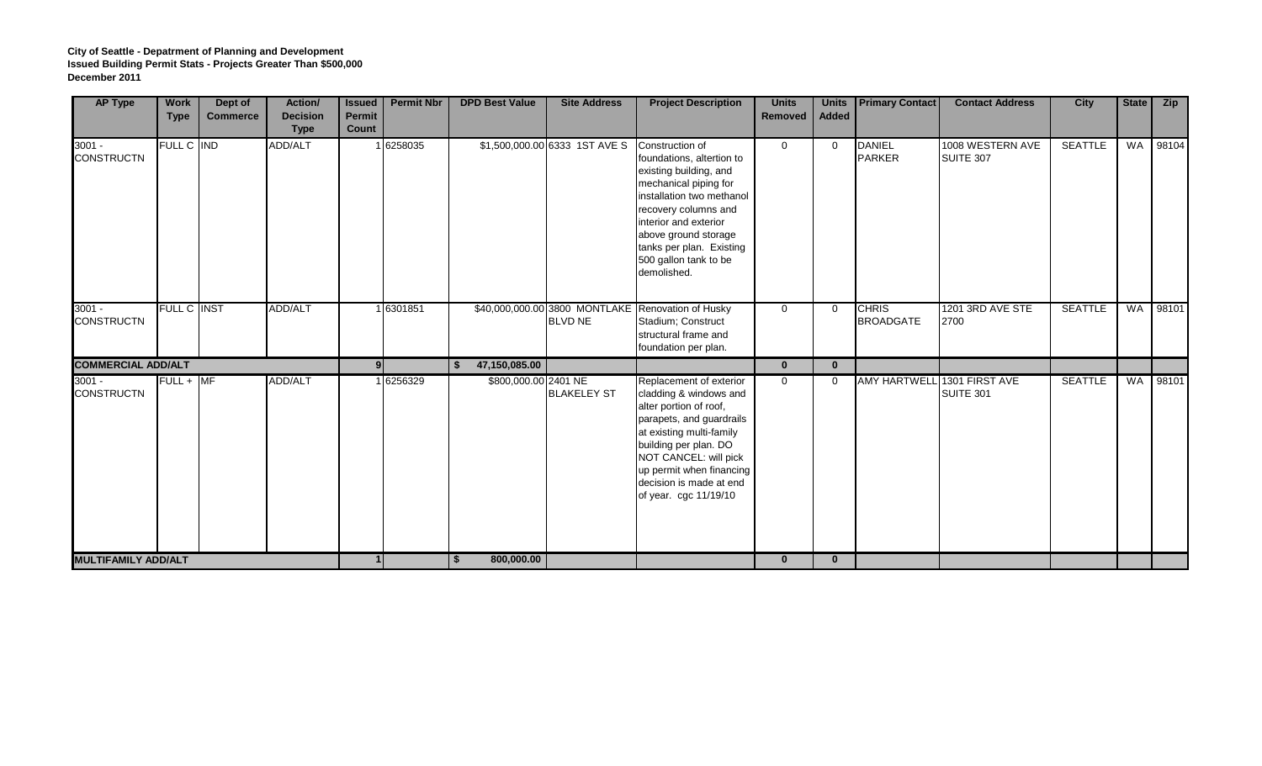| <b>AP Type</b>                | <b>Work</b><br><b>Type</b> | Dept of<br><b>Commerce</b> | Action/<br><b>Decision</b> | <b>Issued</b><br>Permit | <b>Permit Nbr</b> | <b>DPD Best Value</b> | <b>Site Address</b>           | <b>Project Description</b>                                                                                                                                                                                                                                                | <b>Units</b><br>Removed | <b>Units</b><br><b>Added</b> | <b>Primary Contact</b>           | <b>Contact Address</b>               | City           | <b>State</b> | <b>Zip</b> |
|-------------------------------|----------------------------|----------------------------|----------------------------|-------------------------|-------------------|-----------------------|-------------------------------|---------------------------------------------------------------------------------------------------------------------------------------------------------------------------------------------------------------------------------------------------------------------------|-------------------------|------------------------------|----------------------------------|--------------------------------------|----------------|--------------|------------|
|                               |                            |                            | <b>Type</b>                | Count                   |                   |                       |                               |                                                                                                                                                                                                                                                                           |                         |                              |                                  |                                      |                |              |            |
| $3001 -$<br><b>CONSTRUCTN</b> | <b>FULL C IND</b>          |                            | ADD/ALT                    |                         | 6258035           |                       | \$1,500,000.00 6333 1ST AVE S | Construction of<br>foundations, altertion to<br>existing building, and<br>mechanical piping for<br>installation two methanol<br>recovery columns and<br>interior and exterior<br>above ground storage<br>tanks per plan. Existing<br>500 gallon tank to be<br>demolished. | $\mathbf 0$             | $\mathbf 0$                  | <b>DANIEL</b><br><b>PARKER</b>   | 1008 WESTERN AVE<br><b>SUITE 307</b> | <b>SEATTLE</b> | WA           | 98104      |
| $3001 -$<br><b>CONSTRUCTN</b> | <b>FULL C INST</b>         |                            | <b>ADD/ALT</b>             |                         | 1 6301851         |                       | <b>BLVD NE</b>                | \$40,000,000.00 3800 MONTLAKE Renovation of Husky<br>Stadium; Construct<br>structural frame and<br>foundation per plan.                                                                                                                                                   | $\Omega$                | $\Omega$                     | <b>CHRIS</b><br><b>BROADGATE</b> | 1201 3RD AVE STE<br>2700             | <b>SEATTLE</b> | <b>WA</b>    | 98101      |
| <b>COMMERCIAL ADD/ALT</b>     |                            |                            |                            | 9 <sup>1</sup>          |                   | 47,150,085.00         |                               |                                                                                                                                                                                                                                                                           | $\bf{0}$                | $\mathbf{0}$                 |                                  |                                      |                |              |            |
| $3001 -$<br><b>CONSTRUCTN</b> | $FULL + MF$                |                            | ADD/ALT                    | $\mathbf 1$             | 6256329           | \$800,000.00 2401 NE  | <b>BLAKELEY ST</b>            | Replacement of exterior<br>cladding & windows and<br>alter portion of roof,<br>parapets, and guardrails<br>at existing multi-family<br>building per plan. DO<br>NOT CANCEL: will pick<br>up permit when financing<br>decision is made at end<br>of year. cgc 11/19/10     | $\mathbf 0$             | $\Omega$                     | AMY HARTWELL 1301 FIRST AVE      | SUITE 301                            | <b>SEATTLE</b> | WA           | 98101      |
| <b>MULTIFAMILY ADD/ALT</b>    |                            |                            |                            |                         |                   | 800,000.00<br>- \$    |                               |                                                                                                                                                                                                                                                                           | $\mathbf{0}$            | $\mathbf{0}$                 |                                  |                                      |                |              |            |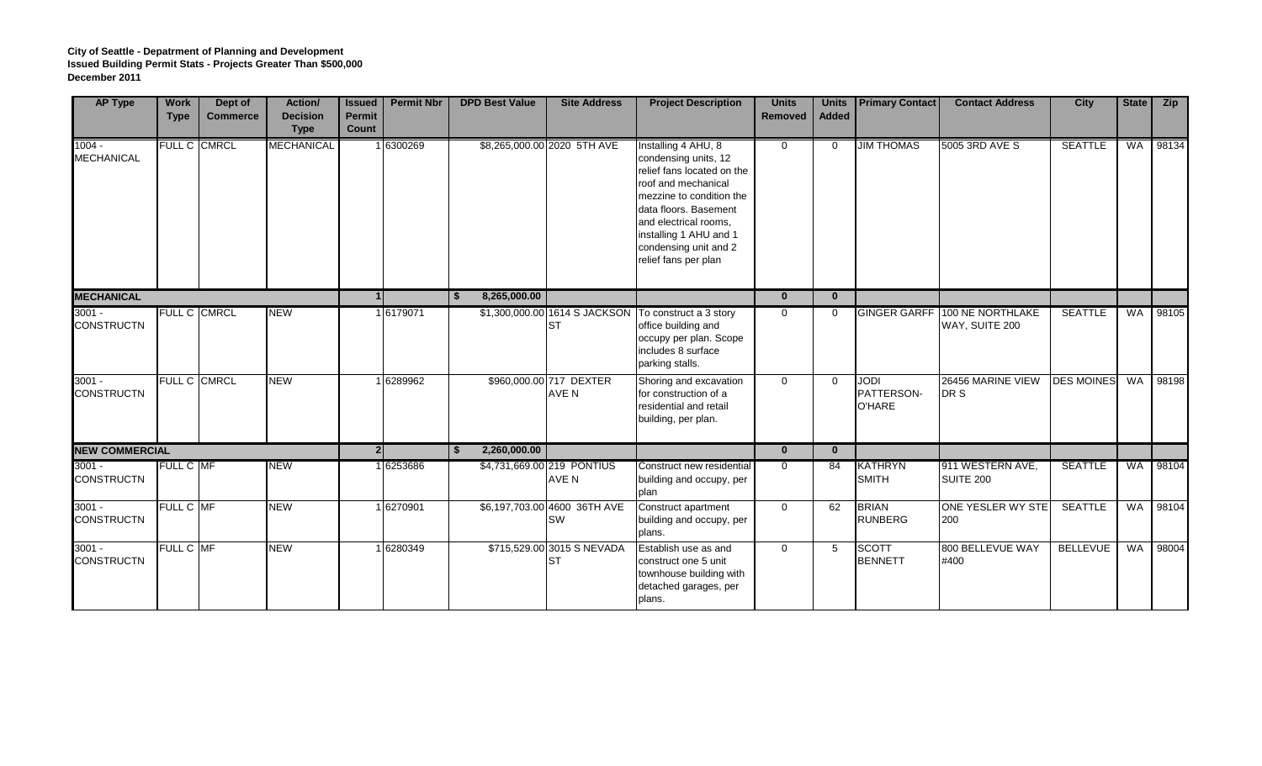| <b>AP Type</b>                | <b>Work</b><br><b>Type</b> | Dept of<br><b>Commerce</b> | Action/<br><b>Decision</b><br><b>Type</b> | <b>Issued</b><br>Permit<br>Count | <b>Permit Nbr</b> | <b>DPD Best Value</b> | <b>Site Address</b>                       | <b>Project Description</b>                                                                                                                                                                                                                                | <b>Units</b><br><b>Removed</b> | <b>Units</b><br><b>Added</b> | <b>Primary Contact</b>                     | <b>Contact Address</b>                          | <b>City</b>       | <b>State</b> | <b>Zip</b> |
|-------------------------------|----------------------------|----------------------------|-------------------------------------------|----------------------------------|-------------------|-----------------------|-------------------------------------------|-----------------------------------------------------------------------------------------------------------------------------------------------------------------------------------------------------------------------------------------------------------|--------------------------------|------------------------------|--------------------------------------------|-------------------------------------------------|-------------------|--------------|------------|
| $1004 -$<br>MECHANICAL        |                            | <b>FULL C CMRCL</b>        | <b>MECHANICAL</b>                         |                                  | 6300269           |                       | \$8,265,000.00 2020 5TH AVE               | Installing 4 AHU, 8<br>condensing units, 12<br>relief fans located on the<br>roof and mechanical<br>mezzine to condition the<br>data floors. Basement<br>and electrical rooms,<br>installing 1 AHU and 1<br>condensing unit and 2<br>relief fans per plan | $\Omega$                       | $\Omega$                     | <b>JIM THOMAS</b>                          | 5005 3RD AVE S                                  | <b>SEATTLE</b>    | <b>WA</b>    | 98134      |
| <b>MECHANICAL</b>             |                            |                            |                                           | $\mathbf{1}$                     |                   | 8,265,000.00<br>- \$  |                                           |                                                                                                                                                                                                                                                           | $\mathbf{0}$                   | $\mathbf{0}$                 |                                            |                                                 |                   |              |            |
| $3001 -$<br><b>CONSTRUCTN</b> | <b>FULL C CMRCL</b>        |                            | <b>NEW</b>                                |                                  | 1 6179071         |                       | <b>ST</b>                                 | \$1,300,000.00 1614 S JACKSON To construct a 3 story<br>office building and<br>occupy per plan. Scope<br>includes 8 surface<br>parking stalls.                                                                                                            | $\Omega$                       | $\Omega$                     |                                            | GINGER GARFF 100 NE NORTHLAKE<br>WAY, SUITE 200 | <b>SEATTLE</b>    | WA           | 98105      |
| $3001 -$<br><b>CONSTRUCTN</b> | FULL C CMRCL               |                            | <b>NEW</b>                                |                                  | 6289962           |                       | \$960,000.00 717 DEXTER<br>AVE N          | Shoring and excavation<br>for construction of a<br>residential and retail<br>building, per plan.                                                                                                                                                          | $\Omega$                       | $\Omega$                     | <b>JODI</b><br>PATTERSON-<br><b>O'HARE</b> | 26456 MARINE VIEW<br>DR S                       | <b>DES MOINES</b> | WA           | 98198      |
| <b>NEW COMMERCIAL</b>         |                            |                            |                                           | 2 <sup>1</sup>                   |                   | 2,260,000.00<br>l S   |                                           |                                                                                                                                                                                                                                                           | $\mathbf{0}$                   | $\mathbf{0}$                 |                                            |                                                 |                   |              |            |
| $3001 -$<br><b>CONSTRUCTN</b> | FULL C MF                  |                            | <b>NEW</b>                                |                                  | 6253686           |                       | \$4,731,669.00 219 PONTIUS<br>AVE N       | Construct new residential<br>building and occupy, per<br>plan                                                                                                                                                                                             | $\Omega$                       | 84                           | <b>KATHRYN</b><br><b>SMITH</b>             | 911 WESTERN AVE,<br><b>SUITE 200</b>            | <b>SEATTLE</b>    | <b>WA</b>    | 98104      |
| $3001 -$<br><b>CONSTRUCTN</b> | FULL C MF                  |                            | <b>NEW</b>                                |                                  | 6270901           |                       | \$6,197,703.00 4600 36TH AVE<br><b>SW</b> | Construct apartment<br>building and occupy, per<br>plans.                                                                                                                                                                                                 | $\Omega$                       | 62                           | <b>BRIAN</b><br><b>RUNBERG</b>             | ONE YESLER WY STE<br>200                        | <b>SEATTLE</b>    | <b>WA</b>    | 98104      |
| $3001 -$<br><b>CONSTRUCTN</b> | FULL C MF                  |                            | <b>NEW</b>                                |                                  | 6280349           |                       | \$715,529.00 3015 S NEVADA<br>Ist         | Establish use as and<br>construct one 5 unit<br>townhouse building with<br>detached garages, per<br>plans.                                                                                                                                                | $\Omega$                       | 5                            | <b>SCOTT</b><br><b>BENNETT</b>             | 800 BELLEVUE WAY<br>#400                        | <b>BELLEVUE</b>   | <b>WA</b>    | 98004      |